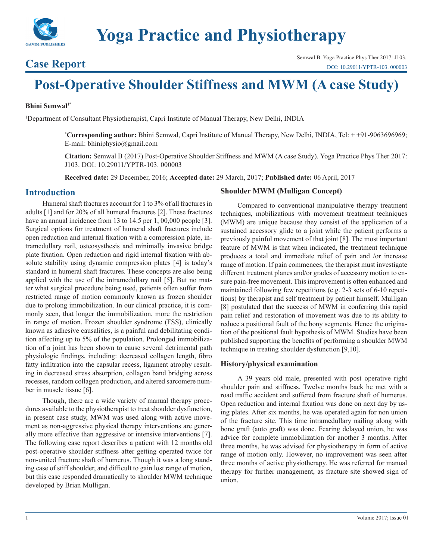

**Yoga Practice and Physiotherapy**

**Case Report** Semwal B. Yoga Practice Phys Ther 2017: J103.<br>
DOI: 10.29011/YPTR-103.000003 [DOI: 10.29011/YPTR-103. 000003](http://doi.org/10.29011/YPTR-103. 000003)

# **Post-Operative Shoulder Stiffness and MWM (A case Study)**

#### **Bhini Semwal1\***

1 Department of Consultant Physiotherapist, Capri Institute of Manual Therapy, New Delhi, INDIA

**\* Corresponding author:** Bhini Semwal, Capri Institute of Manual Therapy, New Delhi, INDIA, Tel: + +91-9063696969; E-mail: bhiniphysio@gmail.com

**Citation:** Semwal B (2017) Post-Operative Shoulder Stiffness and MWM (A case Study). Yoga Practice Phys Ther 2017: J103. DOI: 10.29011/YPTR-103. 000003

**Received date:** 29 December, 2016; **Accepted date:** 29 March, 2017; **Published date:** 06 April, 2017

# **Introduction**

Humeral shaft fractures account for 1 to 3% of all fractures in adults [1] and for 20% of all humeral fractures [2]. These fractures have an annual incidence from 13 to 14.5 per 1, 00,000 people [3]. Surgical options for treatment of humeral shaft fractures include open reduction and internal fixation with a compression plate, intramedullary nail, osteosysthesis and minimally invasive bridge plate fixation. Open reduction and rigid internal fixation with absolute stability using dynamic compression plates [4] is today's standard in humeral shaft fractures. These concepts are also being applied with the use of the intramedullary nail [5]. But no matter what surgical procedure being used, patients often suffer from restricted range of motion commonly known as frozen shoulder due to prolong immobilization. In our clinical practice, it is commonly seen, that longer the immobilization, more the restriction in range of motion. Frozen shoulder syndrome (FSS), clinically known as adhesive causalities, is a painful and debilitating condition affecting up to 5% of the population. Prolonged immobilization of a joint has been shown to cause several detrimental path physiologic findings, including: decreased collagen length, fibro fatty infiltration into the capsular recess, ligament atrophy resulting in decreased stress absorption, collagen band bridging across recesses, random collagen production, and altered sarcomere number in muscle tissue [6].

Though, there are a wide variety of manual therapy procedures available to the physiotherapist to treat shoulder dysfunction, in present case study, MWM was used along with active movement as non-aggressive physical therapy interventions are generally more effective than aggressive or intensive interventions [7]. The following case report describes a patient with 12 months old post-operative shoulder stiffness after getting operated twice for non-united fracture shaft of humerus. Though it was a long standing case of stiff shoulder, and difficult to gain lost range of motion, but this case responded dramatically to shoulder MWM technique developed by Brian Mulligan.

#### **Shoulder MWM (Mulligan Concept)**

Compared to conventional manipulative therapy treatment techniques, mobilizations with movement treatment techniques (MWM) are unique because they consist of the application of a sustained accessory glide to a joint while the patient performs a previously painful movement of that joint [8]. The most important feature of MWM is that when indicated, the treatment technique produces a total and immediate relief of pain and /or increase range of motion. If pain commences, the therapist must investigate different treatment planes and/or grades of accessory motion to ensure pain-free movement. This improvement is often enhanced and maintained following few repetitions (e.g. 2-3 sets of 6-10 repetitions) by therapist and self treatment by patient himself. Mulligan [8] postulated that the success of MWM in conferring this rapid pain relief and restoration of movement was due to its ability to reduce a positional fault of the bony segments. Hence the origination of the positional fault hypothesis of MWM. Studies have been published supporting the benefits of performing a shoulder MWM technique in treating shoulder dysfunction [9,10].

### **History/physical examination**

A 39 years old male, presented with post operative right shoulder pain and stiffness. Twelve months back he met with a road traffic accident and suffered from fracture shaft of humerus. Open reduction and internal fixation was done on next day by using plates. After six months, he was operated again for non union of the fracture site. This time intramedullary nailing along with bone graft (auto graft) was done. Fearing delayed union, he was advice for complete immobilization for another 3 months. After three months, he was advised for physiotherapy in form of active range of motion only. However, no improvement was seen after three months of active physiotherapy. He was referred for manual therapy for further management, as fracture site showed sign of union.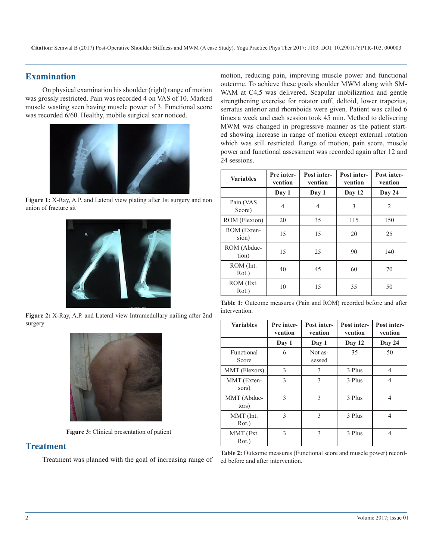# **Examination**

On physical examination his shoulder (right) range of motion was grossly restricted. Pain was recorded 4 on VAS of 10. Marked muscle wasting seen having muscle power of 3. Functional score was recorded 6/60. Healthy, mobile surgical scar noticed.



**Figure 1:** X-Ray, A.P. and Lateral view plating after 1st surgery and non union of fracture sit



**Figure 2:** X-Ray, A.P. and Lateral view Intramedullary nailing after 2nd surgery



**Figure 3:** Clinical presentation of patient

# **Treatment**

Treatment was planned with the goal of increasing range of

motion, reducing pain, improving muscle power and functional outcome. To achieve these goals shoulder MWM along with SM-WAM at C4,5 was delivered. Scapular mobilization and gentle strengthening exercise for rotator cuff, deltoid, lower trapezius, serratus anterior and rhomboids were given. Patient was called 6 times a week and each session took 45 min. Method to delivering MWM was changed in progressive manner as the patient started showing increase in range of motion except external rotation which was still restricted. Range of motion, pain score, muscle power and functional assessment was recorded again after 12 and 24 sessions.

| <b>Variables</b>     | Pre inter-<br>vention | Post inter-<br>vention | <b>Post inter-</b><br>vention | Post inter-<br>vention |
|----------------------|-----------------------|------------------------|-------------------------------|------------------------|
|                      | Day 1                 | Day 1                  | Day 12                        | Day 24                 |
| Pain (VAS<br>Score)  | $\overline{4}$        | 4                      | 3                             | $\overline{2}$         |
| ROM (Flexion)        | 20                    | 35                     | 115                           | 150                    |
| ROM (Exten-<br>sion) | 15                    | 15                     | 20                            | 25                     |
| ROM (Abduc-<br>tion) | 15                    | 25                     | 90                            | 140                    |
| ROM (Int.<br>Rot.)   | 40                    | 45                     | 60                            | 70                     |
| ROM (Ext.<br>Rot.)   | 10                    | 15                     | 35                            | 50                     |

**Table 1:** Outcome measures (Pain and ROM) recorded before and after intervention.

| <b>Variables</b>     | Pre inter-<br>vention | Post inter-<br>vention | <b>Post inter-</b><br>vention | <b>Post inter-</b><br>vention |
|----------------------|-----------------------|------------------------|-------------------------------|-------------------------------|
|                      | Day 1                 | Day 1                  | Day 12                        | Day 24                        |
| Functional<br>Score  | 6                     | Not as-<br>sessed      | 35                            | 50                            |
| MMT (Flexors)        | $\mathcal{E}$         | 3                      | 3 Plus                        | 4                             |
| MMT (Exten-<br>sors) | $\mathcal{E}$         | $\mathcal{E}$          | 3 Plus                        | 4                             |
| MMT (Abduc-<br>tors) | $\mathcal{E}$         | $\mathcal{E}$          | 3 Plus                        | 4                             |
| MMT (Int.<br>Rot.)   | 3                     | 3                      | 3 Plus                        | 4                             |
| MMT (Ext.<br>Rot.)   | 3                     | 3                      | 3 Plus                        | $\overline{4}$                |

**Table 2:** Outcome measures (Functional score and muscle power) recorded before and after intervention.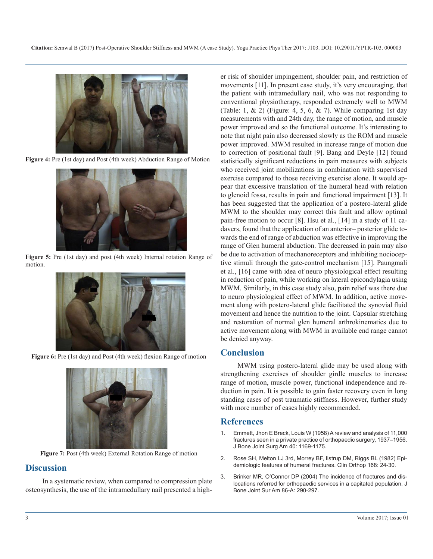

**Figure 4:** Pre (1st day) and Post (4th week) Abduction Range of Motion



**Figure 5:** Pre (1st day) and post (4th week) Internal rotation Range of motion.



Figure 6: Pre (1st day) and Post (4th week) flexion Range of motion



**Figure 7:** Post (4th week) External Rotation Range of motion

# **Discussion**

In a systematic review, when compared to compression plate osteosynthesis, the use of the intramedullary nail presented a high-

er risk of shoulder impingement, shoulder pain, and restriction of movements [11]. In present case study, it's very encouraging, that the patient with intramedullary nail, who was not responding to conventional physiotherapy, responded extremely well to MWM (Table: 1,  $\&$  2) (Figure: 4, 5, 6,  $\&$  7). While comparing 1st day measurements with and 24th day, the range of motion, and muscle power improved and so the functional outcome. It's interesting to note that night pain also decreased slowly as the ROM and muscle power improved. MWM resulted in increase range of motion due to correction of positional fault [9]. Bang and Deyle [12] found statistically significant reductions in pain measures with subjects who received joint mobilizations in combination with supervised exercise compared to those receiving exercise alone. It would appear that excessive translation of the humeral head with relation to glenoid fossa, results in pain and functional impairment [13]. It has been suggested that the application of a postero-lateral glide MWM to the shoulder may correct this fault and allow optimal pain-free motion to occur [8]. Hsu et al., [14] in a study of 11 cadavers, found that the application of an anterior– posterior glide towards the end of range of abduction was effective in improving the range of Glen humeral abduction. The decreased in pain may also be due to activation of mechanoreceptors and inhibiting nocioceptive stimuli through the gate-control mechanism [15]. Paungmali et al., [16] came with idea of neuro physiological effect resulting in reduction of pain, while working on lateral epicondylagia using MWM. Similarly, in this case study also, pain relief was there due to neuro physiological effect of MWM. In addition, active movement along with postero-lateral glide facilitated the synovial fluid movement and hence the nutrition to the joint. Capsular stretching and restoration of normal glen humeral arthrokinematics due to active movement along with MWM in available end range cannot be denied anyway.

# **Conclusion**

MWM using postero-lateral glide may be used along with strengthening exercises of shoulder girdle muscles to increase range of motion, muscle power, functional independence and reduction in pain. It is possible to gain faster recovery even in long standing cases of post traumatic stiffness. However, further study with more number of cases highly recommended.

# **References**

- 1. [Emmett, Jhon E Breck, Louis W \(1958\) A review and analysis of 11,000](http://journals.lww.com/jbjsjournal/Abstract/1958/40050/A_Review_and_Analysis_of_11,000_Fractures_Seen_in.25.aspx)  [fractures seen in a private practice of orthopaedic surgery, 1937–1956.](http://journals.lww.com/jbjsjournal/Abstract/1958/40050/A_Review_and_Analysis_of_11,000_Fractures_Seen_in.25.aspx)  [J Bone Joint Surg Am 40: 1169-1175.](http://journals.lww.com/jbjsjournal/Abstract/1958/40050/A_Review_and_Analysis_of_11,000_Fractures_Seen_in.25.aspx)
- 2. [Rose SH, Melton LJ 3rd, Morrey BF, Ilstrup DM, Riggs BL \(1982\) Epi](https://www.ncbi.nlm.nih.gov/pubmed/7105548)[demiologic features of humeral fractures. Clin Orthop 168: 24-30.](https://www.ncbi.nlm.nih.gov/pubmed/7105548)
- 3. [Brinker MR, O'Connor DP \(2004\) The incidence of fractures and dis](https://www.ncbi.nlm.nih.gov/pubmed/14960673)[locations referred for orthopaedic services in a capitated population. J](https://www.ncbi.nlm.nih.gov/pubmed/14960673) [Bone Joint Sur Am 86-A: 290-297.](https://www.ncbi.nlm.nih.gov/pubmed/14960673)